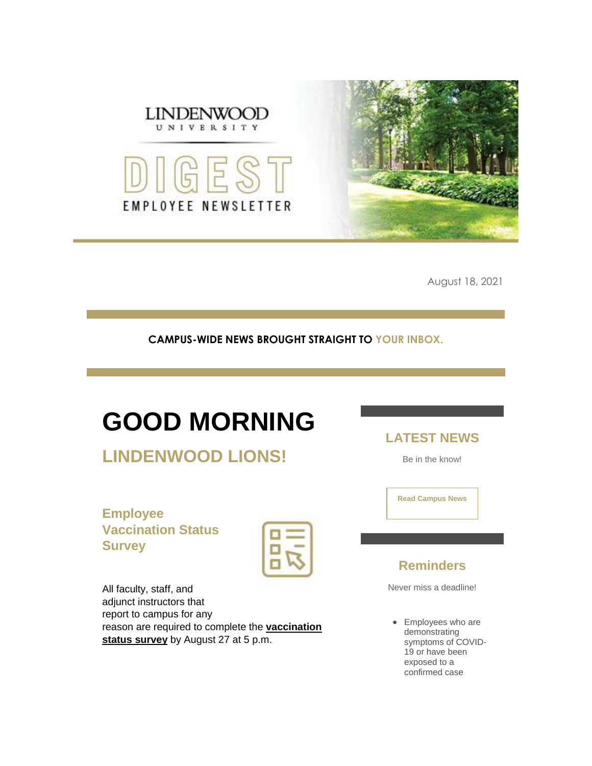

August 18, 2021

#### **CAMPUS-WIDE NEWS BROUGHT STRAIGHT TO YOUR INBOX.**

## **GOOD MORNING**

**LINDENWOOD LIONS!**

**Employee Vaccination Status Survey**

| 1<br>ł<br>۸              | ۸           |
|--------------------------|-------------|
|                          | ×<br>÷<br>X |
| ÷<br>Ŷ.<br>$\mathcal{L}$ | 'n          |

All faculty, staff, and adjunct instructors that report to campus for any reason are required to complete the **[vaccination](https://r20.rs6.net/tn.jsp?f=001MIFHy1fR1RDVP-ciZ0Gu_SkEOLTo1BOHhL68gjRmqSrN100JGKB1UpbsgEnV7ezG2J7dxzTw7NKxxulviTrESFvlNL44D5cWmwib8A-lxpltO-erplx9zaAP1vQiIGThyAb7Dg-9wJoWlWkxv0LJhpyuC6Cj11IX-vDMmHtmn6ERyZlbZnX8EzFyMOI5O7OwhXMfw9WE4Dxup19UHgCgPpoX3NEUVL1ehq8-erGOGgpuM47bcTgY5g==&c=NhJ8yIx2S0BT-RWkpkXGeUP17gap9uZMpuX-4plV52T5oN7-vDL2qQ==&ch=koa8gelN7NVtxwUkGa7yUeiNbVZMuookhOI6oWD6mE9GcOLlsYOO1Q==)  status [survey](https://r20.rs6.net/tn.jsp?f=001MIFHy1fR1RDVP-ciZ0Gu_SkEOLTo1BOHhL68gjRmqSrN100JGKB1UpbsgEnV7ezG2J7dxzTw7NKxxulviTrESFvlNL44D5cWmwib8A-lxpltO-erplx9zaAP1vQiIGThyAb7Dg-9wJoWlWkxv0LJhpyuC6Cj11IX-vDMmHtmn6ERyZlbZnX8EzFyMOI5O7OwhXMfw9WE4Dxup19UHgCgPpoX3NEUVL1ehq8-erGOGgpuM47bcTgY5g==&c=NhJ8yIx2S0BT-RWkpkXGeUP17gap9uZMpuX-4plV52T5oN7-vDL2qQ==&ch=koa8gelN7NVtxwUkGa7yUeiNbVZMuookhOI6oWD6mE9GcOLlsYOO1Q==)** by August 27 at 5 p.m.

**LATEST NEWS**

Be in the know!

**[Read Campus News](https://r20.rs6.net/tn.jsp?f=001MIFHy1fR1RDVP-ciZ0Gu_SkEOLTo1BOHhL68gjRmqSrN100JGKB1UnG_2Fp-K3QL1LV-1qYaZ3PveCisSKZ3wvNSdCxGvg_DDM6REMH6ITQE0cepHtp9r4tf5StlMN4fyqQGTWHSA5Jfd10IbPNrImKaUzRhf2PX-cS2NOkxXGw=&c=NhJ8yIx2S0BT-RWkpkXGeUP17gap9uZMpuX-4plV52T5oN7-vDL2qQ==&ch=koa8gelN7NVtxwUkGa7yUeiNbVZMuookhOI6oWD6mE9GcOLlsYOO1Q==)**

### **Reminders**

Never miss a deadline!

• Employees who are demonstrating symptoms of COVID-19 or have been exposed to a confirmed case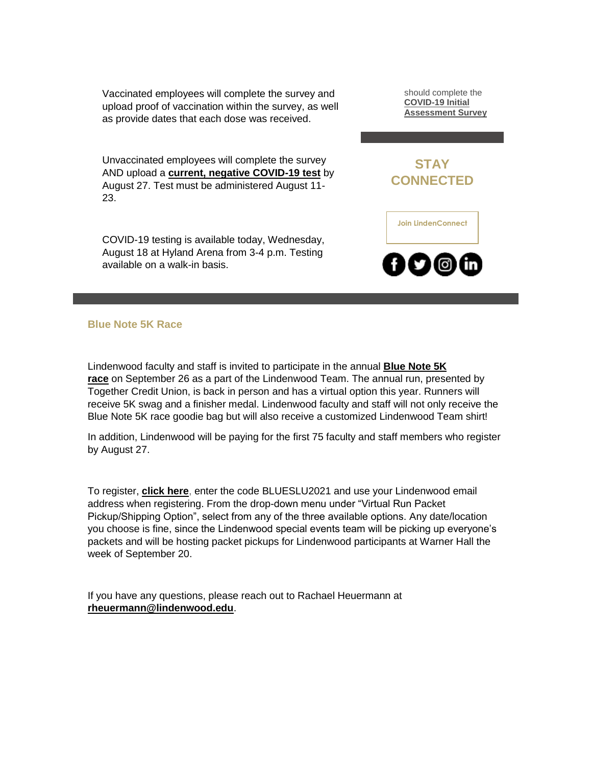Vaccinated employees will complete the survey and upload proof of vaccination within the survey, as well as provide dates that each dose was received.

Unvaccinated employees will complete the survey AND upload a **[current, negative COVID-19 test](https://r20.rs6.net/tn.jsp?f=001MIFHy1fR1RDVP-ciZ0Gu_SkEOLTo1BOHhL68gjRmqSrN100JGKB1UpbsgEnV7ezG_EmuaeFUhKArNkdcV3-L1SkHXMKsEJEwOwIQ3-y8S1fTWztM6aHkPKC1frOMWn-l8ylIu8TB9ipYsUafWJbXVuxP85r4U27kDHeEvkFkxSfIDf1ZLKMMYVJqZwmzVqZRvHrj6mrXh79B5zYOtxVahKDM7F4PYcqADIUsgtT9pBtb723cTate4A==&c=NhJ8yIx2S0BT-RWkpkXGeUP17gap9uZMpuX-4plV52T5oN7-vDL2qQ==&ch=koa8gelN7NVtxwUkGa7yUeiNbVZMuookhOI6oWD6mE9GcOLlsYOO1Q==)** by August 27. Test must be administered August 11- 23.

COVID-19 testing is available today, Wednesday, August 18 at Hyland Arena from 3-4 p.m. Testing available on a walk-in basis.

should complete the **[COVID-19 Initial](https://r20.rs6.net/tn.jsp?f=001MIFHy1fR1RDVP-ciZ0Gu_SkEOLTo1BOHhL68gjRmqSrN100JGKB1Ut8IfxVPEPlidANRpzvwc0DvtsQxFZs1-m26RrVtNDi5rxnbLgW0m8VmzJ8UHQV9gm2hU9WTLA5eg5f6r8u8ZPU9F9ur5fnSYVWwPi8tfAfaCM1M4dKmVIJ_B7k9AUA5nsUkr7iSJ71uHENDQ-_8ib11mFBR4gWmJg==&c=NhJ8yIx2S0BT-RWkpkXGeUP17gap9uZMpuX-4plV52T5oN7-vDL2qQ==&ch=koa8gelN7NVtxwUkGa7yUeiNbVZMuookhOI6oWD6mE9GcOLlsYOO1Q==)  [Assessment Survey](https://r20.rs6.net/tn.jsp?f=001MIFHy1fR1RDVP-ciZ0Gu_SkEOLTo1BOHhL68gjRmqSrN100JGKB1Ut8IfxVPEPlidANRpzvwc0DvtsQxFZs1-m26RrVtNDi5rxnbLgW0m8VmzJ8UHQV9gm2hU9WTLA5eg5f6r8u8ZPU9F9ur5fnSYVWwPi8tfAfaCM1M4dKmVIJ_B7k9AUA5nsUkr7iSJ71uHENDQ-_8ib11mFBR4gWmJg==&c=NhJ8yIx2S0BT-RWkpkXGeUP17gap9uZMpuX-4plV52T5oN7-vDL2qQ==&ch=koa8gelN7NVtxwUkGa7yUeiNbVZMuookhOI6oWD6mE9GcOLlsYOO1Q==)**



**[Join LindenConnect](https://r20.rs6.net/tn.jsp?f=001MIFHy1fR1RDVP-ciZ0Gu_SkEOLTo1BOHhL68gjRmqSrN100JGKB1UhxqQMvx4rBL1yPGp-QWsuE39YY7EHnPXY5_jdA4qFy72QsvpAlg1b476D6aljmjwx4A0P59kAPqeU8aNx6Inqz11BTcUv24rkLBcaHVVJKt-orrH_kWCI8=&c=NhJ8yIx2S0BT-RWkpkXGeUP17gap9uZMpuX-4plV52T5oN7-vDL2qQ==&ch=koa8gelN7NVtxwUkGa7yUeiNbVZMuookhOI6oWD6mE9GcOLlsYOO1Q==)**

 $\mathbf{I}$  ල

**Blue Note 5K Race**

Lindenwood faculty and staff is invited to participate in the annual **[Blue Note 5K](https://r20.rs6.net/tn.jsp?f=001MIFHy1fR1RDVP-ciZ0Gu_SkEOLTo1BOHhL68gjRmqSrN100JGKB1UoTS8kh2sabkAwtkNdEJ-rnPWIGGFdhFCxyumweJRtIJtKM_DTTLAIQ8E6CA-YJdrXEUjzy13t8eWjvYeAOkBFY0pLgMMTUjwth5P-n38qWs8vvthNJRMO5NLbLaR_tXaLUvJKy62ywiWMUYM60_lzYnFB2UF9_KjCnaYmIEJ259jZfq6BrRcA4=&c=NhJ8yIx2S0BT-RWkpkXGeUP17gap9uZMpuX-4plV52T5oN7-vDL2qQ==&ch=koa8gelN7NVtxwUkGa7yUeiNbVZMuookhOI6oWD6mE9GcOLlsYOO1Q==)  [race](https://r20.rs6.net/tn.jsp?f=001MIFHy1fR1RDVP-ciZ0Gu_SkEOLTo1BOHhL68gjRmqSrN100JGKB1UoTS8kh2sabkAwtkNdEJ-rnPWIGGFdhFCxyumweJRtIJtKM_DTTLAIQ8E6CA-YJdrXEUjzy13t8eWjvYeAOkBFY0pLgMMTUjwth5P-n38qWs8vvthNJRMO5NLbLaR_tXaLUvJKy62ywiWMUYM60_lzYnFB2UF9_KjCnaYmIEJ259jZfq6BrRcA4=&c=NhJ8yIx2S0BT-RWkpkXGeUP17gap9uZMpuX-4plV52T5oN7-vDL2qQ==&ch=koa8gelN7NVtxwUkGa7yUeiNbVZMuookhOI6oWD6mE9GcOLlsYOO1Q==)** on September 26 as a part of the Lindenwood Team. The annual run, presented by Together Credit Union, is back in person and has a virtual option this year. Runners will receive 5K swag and a finisher medal. Lindenwood faculty and staff will not only receive the Blue Note 5K race goodie bag but will also receive a customized Lindenwood Team shirt!

In addition, Lindenwood will be paying for the first 75 faculty and staff members who register by August 27.

To register, **[click here](https://r20.rs6.net/tn.jsp?f=001MIFHy1fR1RDVP-ciZ0Gu_SkEOLTo1BOHhL68gjRmqSrN100JGKB1UoTS8kh2sabk3XLo0EDVKfRz33grc5UjpeeWmTSruDoJ0PvDhiJ7a1zmAoFoG1JgndMUJttIkFy1ot8NaHI_pgWuWWiSUuzbp9Sq9ncAXUFNNEsM1Q_zI4caWczXLD5c68qDlwsuyzt7&c=NhJ8yIx2S0BT-RWkpkXGeUP17gap9uZMpuX-4plV52T5oN7-vDL2qQ==&ch=koa8gelN7NVtxwUkGa7yUeiNbVZMuookhOI6oWD6mE9GcOLlsYOO1Q==)**, enter the code BLUESLU2021 and use your Lindenwood email address when registering. From the drop-down menu under "Virtual Run Packet Pickup/Shipping Option", select from any of the three available options. Any date/location you choose is fine, since the Lindenwood special events team will be picking up everyone's packets and will be hosting packet pickups for Lindenwood participants at Warner Hall the week of September 20.

If you have any questions, please reach out to Rachael Heuermann at **[rheuermann@lindenwood.edu](mailto:rheuermann@lindenwood.edu)**.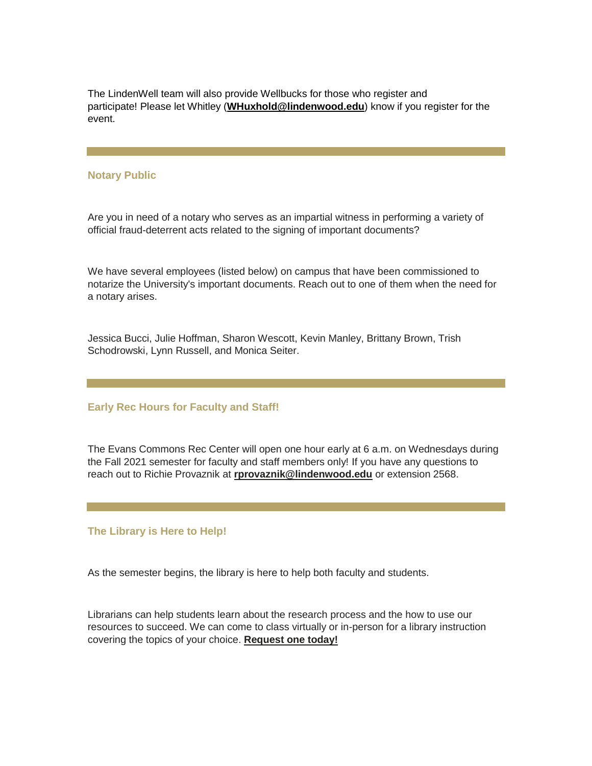The LindenWell team will also provide Wellbucks for those who register and participate! Please let Whitley (**[WHuxhold@lindenwood.edu](mailto:WHuxhold@lindenwood.edu)**) know if you register for the event.

#### **Notary Public**

Are you in need of a notary who serves as an impartial witness in performing a variety of official fraud-deterrent acts related to the signing of important documents?

We have several employees (listed below) on campus that have been commissioned to notarize the University's important documents. Reach out to one of them when the need for a notary arises.

Jessica Bucci, Julie Hoffman, Sharon Wescott, Kevin Manley, Brittany Brown, Trish Schodrowski, Lynn Russell, and Monica Seiter.

#### **Early Rec Hours for Faculty and Staff!**

The Evans Commons Rec Center will open one hour early at 6 a.m. on Wednesdays during the Fall 2021 semester for faculty and staff members only! If you have any questions to reach out to Richie Provaznik at **[rprovaznik@lindenwood.edu](mailto:rprovaznik@lindenwood.edu)** or extension 2568.

#### **The Library is Here to Help!**

As the semester begins, the library is here to help both faculty and students.

Librarians can help students learn about the research process and the how to use our resources to succeed. We can come to class virtually or in-person for a library instruction covering the topics of your choice. **[Request one today!](https://r20.rs6.net/tn.jsp?f=001MIFHy1fR1RDVP-ciZ0Gu_SkEOLTo1BOHhL68gjRmqSrN100JGKB1UoTS8kh2sabkat32Vr0ccLn1wlJDHi2JQ_g-OATY3fz3n3LDwDr8Zz0Pman45CG7VJVmDl2VERTRLCN1YBnk66TkRoXO4uNkjt8_HeSrcsDhtPE7VlJGwMaS-N4Zaiymx9wmM-CRWkADSg5nyzzwuXTDGG0tFDS0jH1nFDXO3Sbw&c=NhJ8yIx2S0BT-RWkpkXGeUP17gap9uZMpuX-4plV52T5oN7-vDL2qQ==&ch=koa8gelN7NVtxwUkGa7yUeiNbVZMuookhOI6oWD6mE9GcOLlsYOO1Q==)**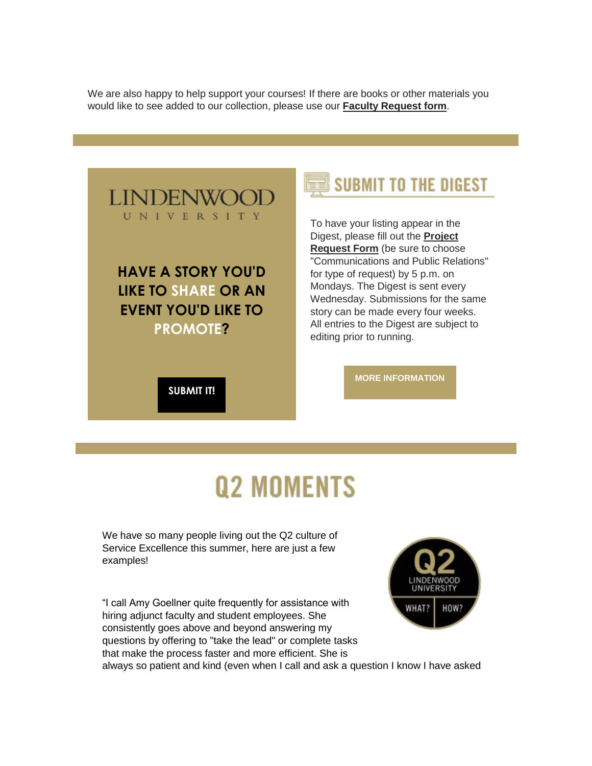We are also happy to help support your courses! If there are books or other materials you would like to see added to our collection, please use our **[Faculty Request form](https://r20.rs6.net/tn.jsp?f=001MIFHy1fR1RDVP-ciZ0Gu_SkEOLTo1BOHhL68gjRmqSrN100JGKB1UoTS8kh2sabkVEiIm9v91vNHREnYCxxps52t-k8AZ2SOQ_0ns49OfUzR9AOL5cnO_LxI9NAafmc_EMVbnQ2kE-qrsZ30CiNehhtMJMJDQ8KVxVvsC0U4fBoATREDnRr6Nc9BQVUtxfPBLm5b2heMHdh7y5Xw_0cRrQ==&c=NhJ8yIx2S0BT-RWkpkXGeUP17gap9uZMpuX-4plV52T5oN7-vDL2qQ==&ch=koa8gelN7NVtxwUkGa7yUeiNbVZMuookhOI6oWD6mE9GcOLlsYOO1Q==)**.



# **Q2 MOMENTS**

We have so many people living out the Q2 culture of Service Excellence this summer, here are just a few examples!

"I call Amy Goellner quite frequently for assistance with hiring adjunct faculty and student employees. She consistently goes above and beyond answering my questions by offering to "take the lead" or complete tasks that make the process faster and more efficient. She is always so patient and kind (even when I call and ask a question I know I have asked

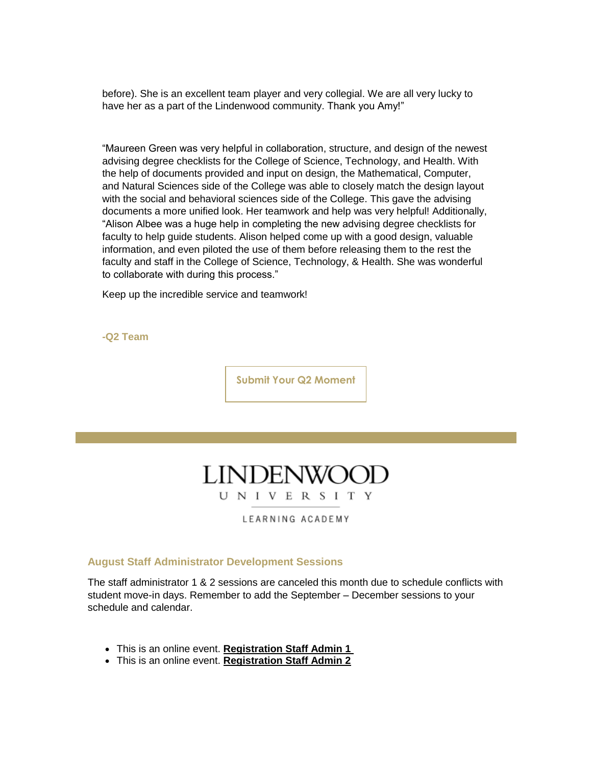before). She is an excellent team player and very collegial. We are all very lucky to have her as a part of the Lindenwood community. Thank you Amy!"

"Maureen Green was very helpful in collaboration, structure, and design of the newest advising degree checklists for the College of Science, Technology, and Health. With the help of documents provided and input on design, the Mathematical, Computer, and Natural Sciences side of the College was able to closely match the design layout with the social and behavioral sciences side of the College. This gave the advising documents a more unified look. Her teamwork and help was very helpful! Additionally, "Alison Albee was a huge help in completing the new advising degree checklists for faculty to help guide students. Alison helped come up with a good design, valuable information, and even piloted the use of them before releasing them to the rest the faculty and staff in the College of Science, Technology, & Health. She was wonderful to collaborate with during this process."

Keep up the incredible service and teamwork!

**-Q2 Team**

**[Submit Your Q2 Moment](https://r20.rs6.net/tn.jsp?f=001MIFHy1fR1RDVP-ciZ0Gu_SkEOLTo1BOHhL68gjRmqSrN100JGKB1UnG_2Fp-K3QL31PJ0KmQmo9mbHDsrqkn26vb6EXvixY3BdQb56JNRZFBaHGr0iPwl1YURrbg_Y8Fndw08sJQJF64E1cXBIsZqm6NkFvG5rsIMFXCfS6-pkPm8dGZ9KdS6faxKC1qx3BQ3eLA-c159kP0RxRc9kHd4K4ualY3jLZSC4hfEpISCS99j_a5TwYcVjUVSb3l-MflKaqjQgL9PgiYMJbRGNYrYQ==&c=NhJ8yIx2S0BT-RWkpkXGeUP17gap9uZMpuX-4plV52T5oN7-vDL2qQ==&ch=koa8gelN7NVtxwUkGa7yUeiNbVZMuookhOI6oWD6mE9GcOLlsYOO1Q==)**

## **LINDENWO** UNIVERSITY

LEARNING ACADEMY

#### **August Staff Administrator Development Sessions**

The staff administrator 1 & 2 sessions are canceled this month due to schedule conflicts with student move-in days. Remember to add the September – December sessions to your schedule and calendar.

- This is an online event. **[Registration Staff Admin 1](https://r20.rs6.net/tn.jsp?f=001MIFHy1fR1RDVP-ciZ0Gu_SkEOLTo1BOHhL68gjRmqSrN100JGKB1UoTS8kh2sabktE4jBkQHtbauI_OlL0sIZAQLAX4x10P-pTigBpIFnCRw-INQnO_4VEPngFvMPpUzspI5AnnEKk0SXSgnQKB9bWxemDbG3A1kGUg_c96rtQM=&c=NhJ8yIx2S0BT-RWkpkXGeUP17gap9uZMpuX-4plV52T5oN7-vDL2qQ==&ch=koa8gelN7NVtxwUkGa7yUeiNbVZMuookhOI6oWD6mE9GcOLlsYOO1Q==)**
- This is an online event. **[Registration Staff Admin 2](https://r20.rs6.net/tn.jsp?f=001MIFHy1fR1RDVP-ciZ0Gu_SkEOLTo1BOHhL68gjRmqSrN100JGKB1UoTS8kh2sabk317xrzkJMxPOGQjogk1rfQiOlTC_6aUhFxuWphWbRK92rueTbx5AwRhyLjP6-By2bMvhrLz8boOp17lOJKO-hxYXpleRpf7hwJgKuJR0O_I=&c=NhJ8yIx2S0BT-RWkpkXGeUP17gap9uZMpuX-4plV52T5oN7-vDL2qQ==&ch=koa8gelN7NVtxwUkGa7yUeiNbVZMuookhOI6oWD6mE9GcOLlsYOO1Q==)**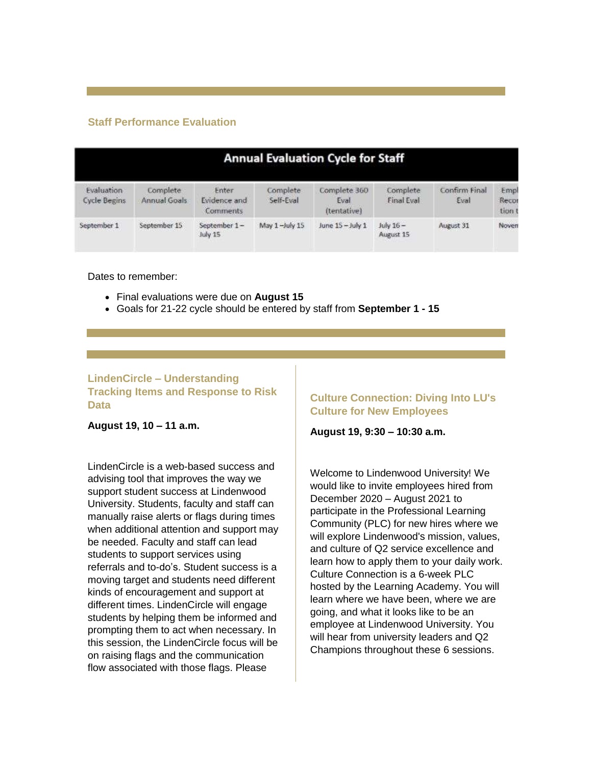#### **Staff Performance Evaluation**

| <b>Annual Evaluation Cycle for Staff</b> |                          |                                    |                       |                                     |                        |                       |                         |  |  |
|------------------------------------------|--------------------------|------------------------------------|-----------------------|-------------------------------------|------------------------|-----------------------|-------------------------|--|--|
| Evaluation<br><b>Cycle Begins</b>        | Complete<br>Annual Goals | Enter<br>Evidence and<br>Comments. | Complete<br>Self-Eval | Complete 360<br>Eval<br>(tentative) | Complete<br>Final Eval | Confirm Final<br>Eval | Empl<br>Recor<br>tion t |  |  |
| September 1                              | September 15             | September 1-<br>July 15            | May 1-July 15         | June 15 - July 1                    | July 16-<br>August 15  | August 31             | Novem                   |  |  |

Dates to remember:

- Final evaluations were due on **August 15**
- Goals for 21-22 cycle should be entered by staff from **September 1 - 15**

#### **LindenCircle – Understanding Tracking Items and Response to Risk Data**

**August 19, 10 – 11 a.m.**

LindenCircle is a web-based success and advising tool that improves the way we support student success at Lindenwood University. Students, faculty and staff can manually raise alerts or flags during times when additional attention and support may be needed. Faculty and staff can lead students to support services using referrals and to-do's. Student success is a moving target and students need different kinds of encouragement and support at different times. LindenCircle will engage students by helping them be informed and prompting them to act when necessary. In this session, the LindenCircle focus will be on raising flags and the communication flow associated with those flags. Please

#### **Culture Connection: Diving Into LU's Culture for New Employees**

**August 19, 9:30 – 10:30 a.m.**

Welcome to Lindenwood University! We would like to invite employees hired from December 2020 – August 2021 to participate in the Professional Learning Community (PLC) for new hires where we will explore Lindenwood's mission, values, and culture of Q2 service excellence and learn how to apply them to your daily work. Culture Connection is a 6-week PLC hosted by the Learning Academy. You will learn where we have been, where we are going, and what it looks like to be an employee at Lindenwood University. You will hear from university leaders and Q2 Champions throughout these 6 sessions.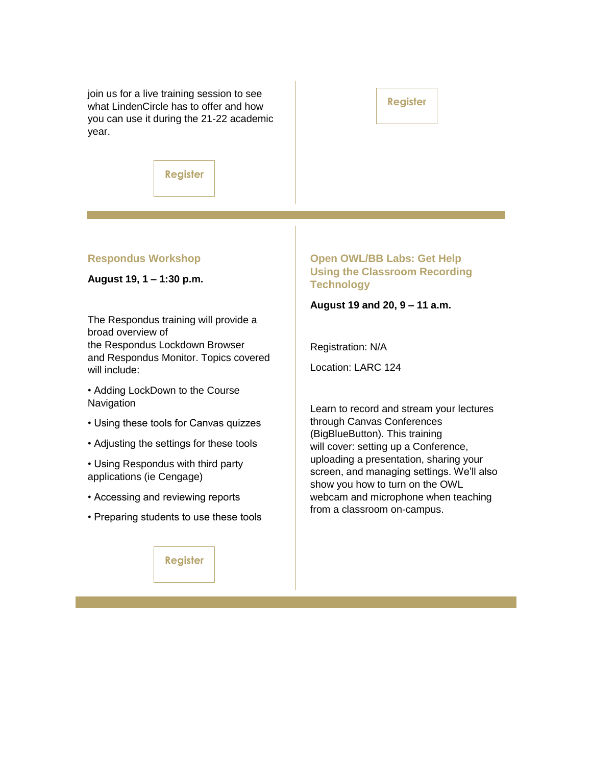join us for a live training session to see what LindenCircle has to offer and how you can use it during the 21-22 academic year.

#### **[Register](https://r20.rs6.net/tn.jsp?f=001MIFHy1fR1RDVP-ciZ0Gu_SkEOLTo1BOHhL68gjRmqSrN100JGKB1UoTS8kh2sabk3u88aZyIbU3PCdonq_cDLq9P22glH_9TUO1vM63TOuU857nCX42wYC3aWlLV18j7Mg0D8qj9Aj9NCKdfbpDkRcV-fbvl0vd8tDR3wO39oCj0EE1Py9vihZI9yrCbl_Ri&c=NhJ8yIx2S0BT-RWkpkXGeUP17gap9uZMpuX-4plV52T5oN7-vDL2qQ==&ch=koa8gelN7NVtxwUkGa7yUeiNbVZMuookhOI6oWD6mE9GcOLlsYOO1Q==)**

**[Register](https://r20.rs6.net/tn.jsp?f=001MIFHy1fR1RDVP-ciZ0Gu_SkEOLTo1BOHhL68gjRmqSrN100JGKB1Uvlju7j-iLf-Q7AIoL3rryo35Cd42Vxrkhkmue_wT3Q-N9L9X1Qr2eTWlnpnkk-oVS2l1iG3MtA4xEko3a9C60ZCIUafwLpZStv5VLGIfLK4qisjS6ivvJqw2V8j1NOqcw==&c=NhJ8yIx2S0BT-RWkpkXGeUP17gap9uZMpuX-4plV52T5oN7-vDL2qQ==&ch=koa8gelN7NVtxwUkGa7yUeiNbVZMuookhOI6oWD6mE9GcOLlsYOO1Q==)**

#### **Respondus Workshop**

**August 19, 1 – 1:30 p.m.**

The Respondus training will provide a broad overview of the Respondus Lockdown Browser and Respondus Monitor. Topics covered will include:

• Adding LockDown to the Course **Navigation** 

- Using these tools for Canvas quizzes
- Adjusting the settings for these tools
- Using Respondus with third party applications (ie Cengage)
- Accessing and reviewing reports
- Preparing students to use these tools

**[Register](https://r20.rs6.net/tn.jsp?f=001MIFHy1fR1RDVP-ciZ0Gu_SkEOLTo1BOHhL68gjRmqSrN100JGKB1UoTS8kh2sabkUVbWmCcMWMXPY_ESMJAxzI6PoeyQc6M0wUEsNBDW7KJOn6shCAKnL-Z4QoJ9LhnF8dJET3N67Xh7Uwh2UG2wT6ZbSo0oQ4o9fLu3Mf-_AUU=&c=NhJ8yIx2S0BT-RWkpkXGeUP17gap9uZMpuX-4plV52T5oN7-vDL2qQ==&ch=koa8gelN7NVtxwUkGa7yUeiNbVZMuookhOI6oWD6mE9GcOLlsYOO1Q==)**

#### **Open OWL/BB Labs: Get Help Using the Classroom Recording Technology**

**August 19 and 20, 9 – 11 a.m.**

Registration: N/A

Location: LARC 124

Learn to record and stream your lectures through Canvas Conferences (BigBlueButton). This training will cover: setting up a Conference, uploading a presentation, sharing your screen, and managing settings. We'll also show you how to turn on the OWL webcam and microphone when teaching from a classroom on-campus.